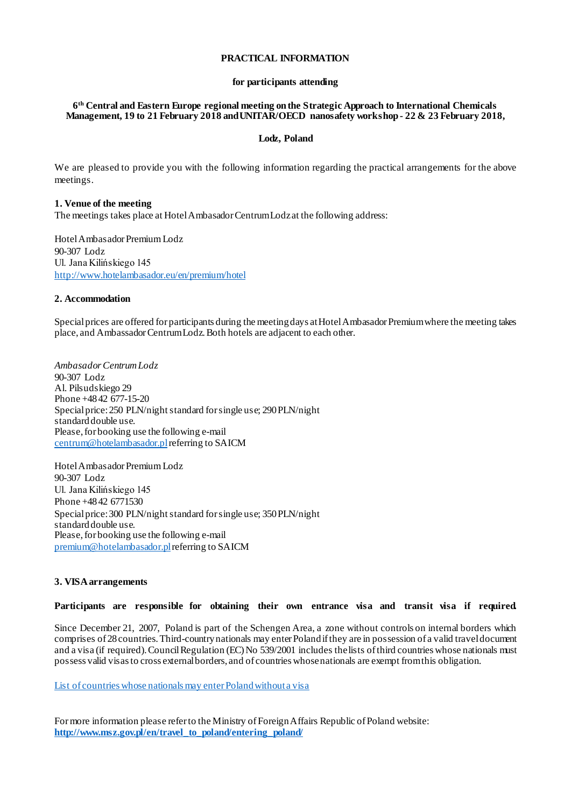## **PRACTICAL INFORMATION**

#### **for participants attending**

#### **6th Central and Eastern Europe regional meeting on the Strategic Approach to International Chemicals Management, 19 to 21 February 2018 and UNITAR/OECD nanosafety workshop - 22 & 23 February 2018,**

#### **Lodz, Poland**

We are pleased to provide you with the following information regarding the practical arrangements for the above meetings.

# **1. Venue of the meeting**

The meetings takes place at Hotel Ambasador Centrum Lodz at the following address:

Hotel Ambasador Premium Lodz 90-307 Lodz Ul. Jana Kilińskiego 145 <http://www.hotelambasador.eu/en/premium/hotel>

#### **2. Accommodation**

Special prices are offered for participants during the meeting days at Hotel Ambasador Premium where the meeting takes place, and AmbassadorCentrum Lodz. Both hotels are adjacent to each other.

*Ambasador Centrum Lodz* 90-307 Lodz Al. Pilsudskiego 29 Phone +48 42 677-15-20 Special price: 250 PLN/night standard for single use; 290 PLN/night standard double use. Please, for booking use the following e-mail [centrum@hotelambasador.pl](mailto:centrum@hotelambasador.pl)referring to SAICM

Hotel Ambasador Premium Lodz 90-307 Lodz Ul. Jana Kilińskiego 145 Phone +48 42 6771530 Special price: 300 PLN/night standard for single use; 350 PLN/night standard double use. Please, for booking use the following e-mail [premium@hotelambasador.pl](mailto:premium@hotelambasador.pl)referring to SAICM

#### **3. VISA arrangements**

#### **Participants are responsible for obtaining their own entrance visa and transit visa if required.**

Since December 21, 2007, Poland is part of the Schengen Area, a zone without controls on internal borders which comprises of 28 countries. Third-country nationals may enter Poland if they are in possession of a valid travel document and a visa (if required). Council Regulation (EC) No 539/2001 includes the lists of third countries whose nationals must possess valid visas to cross external borders, and of countries whose nationals are exempt from this obligation.

List of countries whose nationals may enter Poland without a visa

For more information please refer to the Ministry of Foreign Affairs Republic of Poland website: **[http://www.msz.gov.pl/en/travel\\_to\\_poland/entering\\_poland/](http://www.msz.gov.pl/en/travel_to_poland/entering_poland/)**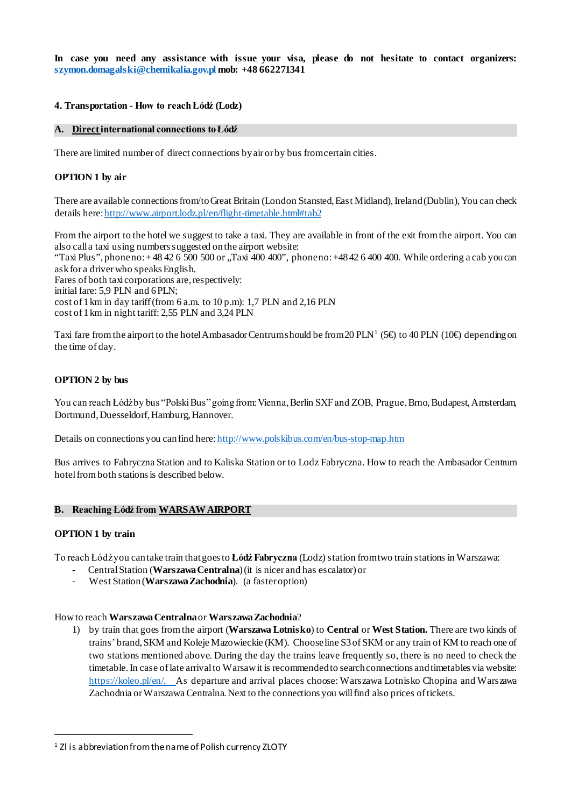**In case you need any assistance with issue your visa, please do not hesitate to contact organizers: [szymon.domagalski@chemikalia.gov.pl](mailto:szymon.domagalski@chemikalia.gov.pl) mob: +48 662271341** 

## **4. Transportation - How to reach Łódź (Lodz)**

### **A. Direct international connections to Łódź**

There are limited number of direct connections by air or by bus from certain cities.

## **OPTION 1 by air**

There are available connections from/to Great Britain (London Stansted, East Midland), Ireland(Dublin), You can check details here[: http://www.airport.lodz.pl/en/flight-timetable.html#tab2](http://www.airport.lodz.pl/en/flight-timetable.html#tab2)

From the airport to the hotel we suggest to take a taxi. They are available in front of the exit from the airport. You can also call a taxi using numbers suggested onthe airport website: "Taxi Plus", phone no: + 48 42 6 500 500 or "Taxi 400 400", phone no: +4842 6 400 400. While ordering a cab you can ask for a driver who speaks English. Fares of both taxi corporations are, respectively: initial fare: 5,9 PLN and 6 PLN; cost of 1 km in day tariff (from 6 a.m. to 10 p.m): 1,7 PLN and 2,16 PLN cost of 1 km in night tariff: 2,55 PLN and 3,24 PLN

Taxi fare from the airport to the hotel Ambasador Centrumshould be from 20 PLN<sup>[1](#page-1-0)</sup> (5 $\oplus$  to 40 PLN (10 $\oplus$  depending on the time of day.

### **OPTION 2 by bus**

You can reach Łódź by bus "Polski Bus" going from: Vienna, Berlin SXF and ZOB, Prague, Brno, Budapest, Amsterdam, Dortmund, Duesseldorf, Hamburg, Hannover.

Details on connections you can find here[: http://www.polskibus.com/en/bus-stop-map.htm](http://www.polskibus.com/en/bus-stop-map.htm)

Bus arrives to Fabryczna Station and to Kaliska Station or to Lodz Fabryczna. How to reach the Ambasador Centrum hotel from both stations is described below.

### **B. Reaching Łódź from WARSAW AIRPORT**

### **OPTION 1 by train**

To reach Łódź you can take train that goes to **Łódź Fabryczna** (Lodz) station from two train stations in Warszawa:

- Central Station (**Warszawa Centralna**) (it is nicer and has escalator) or
- West Station (**Warszawa Zachodnia**). (a faster option)

## How to reach **Warszawa Centralna**or **Warszawa Zachodnia**?

1) by train that goes from the airport (**Warszawa Lotnisko**) to **Central** or **West Station.** There are two kinds of trains' brand, SKM and Koleje Mazowieckie (KM). Choose line S3 of SKM or any train of KM to reach one of two stations mentioned above. During the day the trains leave frequently so, there is no need to check the timetable. In case of late arrival to Warsaw it is recommended to search connections and timetables via website: <https://koleo.pl/en/>. As departure and arrival places choose: Warszawa Lotnisko Chopina and Warszawa Zachodnia or Warszawa Centralna. Next to the connections you will find also prices of tickets.

<span id="page-1-0"></span><sup>&</sup>lt;sup>1</sup> Zl is abbreviation from the name of Polish currency ZLOTY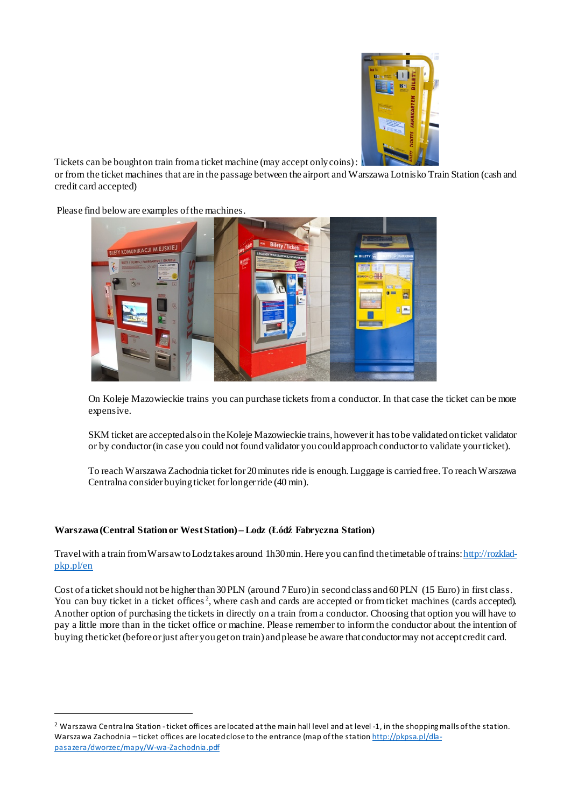

Tickets can be bought on train from a ticket machine (may accept only coins):

or from the ticket machines that are in the passage between the airport and Warszawa Lotnisko Train Station (cash and credit card accepted)

Please find below are examples of the machines.



On Koleje Mazowieckie trains you can purchase tickets from a conductor. In that case the ticket can be more expensive.

SKM ticket are accepted also in the Koleje Mazowieckie trains, however it has to be validated on ticket validator or by conductor (in case you could not found validator you could approach conductor to validate your ticket).

To reach Warszawa Zachodnia ticket for 20 minutes ride is enough. Luggage is carried free. To reach Warszawa Centralna consider buying ticket for longer ride (40 min).

# **Warszawa(Central Station or West Station) – Lodz (Łódź Fabryczna Station)**

Travel with a train from Warsaw to Lodztakes around 1h30 min. Here you can find the timetable of train[s: http://rozklad](http://rozklad-pkp.pl/en)[pkp.pl/en](http://rozklad-pkp.pl/en)

Cost of a ticket should not be higher than 30 PLN (around 7Euro) in second class and 60 PLN (15 Euro) in first class. You can buy ticket in a ticket offices<sup>[2](#page-2-0)</sup>, where cash and cards are accepted or from ticket machines (cards accepted). Another option of purchasing the tickets in directly on a train from a conductor. Choosing that option you will have to pay a little more than in the ticket office or machine. Please remember to inform the conductor about the intention of buying the ticket (before or just after you get on train) and please be aware that conductor may not accept credit card.

<span id="page-2-0"></span><sup>&</sup>lt;sup>2</sup> Warszawa Centralna Station - ticket offices are located at the main hall level and at level -1, in the shopping malls of the station. Warszawa Zachodnia – ticket offices are located close to the entrance (map of the statio[n http://pkpsa.pl/dla](http://pkpsa.pl/dla-pasazera/dworzec/mapy/W-wa-Zachodnia.pdf)[pasazera/dworzec/mapy/W-wa-Zachodnia.pdf](http://pkpsa.pl/dla-pasazera/dworzec/mapy/W-wa-Zachodnia.pdf)